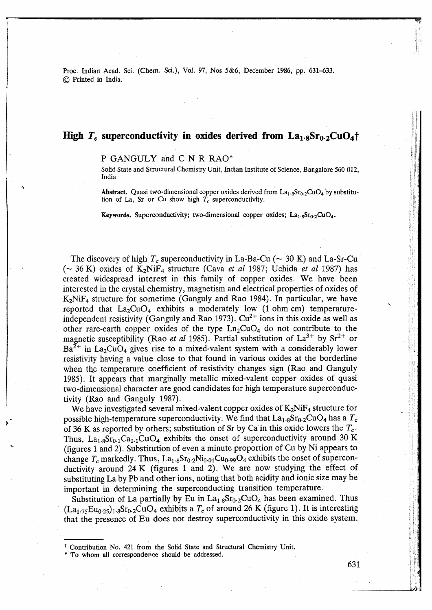Proc. Indian Acad. Sci. (Chem. Sci.), Vol. **97,** Nos **5&6,** December 1986, pp. **631-633.**  @ Printed in India.

# **High**  $T_c$  **superconductivity in oxides derived from**  $La_{1.8}Sr_{0.2}CuO_4\uparrow$

### P GANGULY and C N R **RAO\***

Solid State and Structural Chemistry Unit, Indian Institute of Science, Bangalore 560 012, India

**Abstract.** Quasi two-dimensional copper oxides derived from  $La_{1.8}Sr_{0.2}CuO_4$  by substitution of La, Sr or Cu show high  $T_c$  superconductivity.

**Keywords.** Superconductivity; two-dimensional copper oxides;  $La_{1.8}Sr_{0.2}CuO_4$ .

The discovery of high  $T_c$  superconductivity in La-Ba-Cu ( $\sim$  30 K) and La-Sr-Cu ( $\sim$  36 K) oxides of K<sub>2</sub>NiF<sub>4</sub> structure (Cava *et al* 1987; Uchida *et al* 1987) has created widespread interest in this family of copper oxides. We have been interested in the crystal chemistry, magnetism and electrical properties of oxides of  $K_2N$ i $F_4$  structure for sometime (Ganguly and Rao 1984). In particular, we have reported that  $La_2CuO_4$  exhibits a moderately low (1 ohm cm) temperatureindependent resistivity (Ganguly and Rao 1973).  $Cu^{2+}$  ions in this oxide as well as other rare-earth copper oxides of the type  $Ln_2CuO_4$  do not contribute to the magnetic susceptibility (Rao *et al* 1985). Partial substitution of  $La^{3+}$  by  $Sr^{2+}$  or  $Ba^{2+}$  in La<sub>2</sub>CuO<sub>4</sub> gives rise to a mixed-valent system with a considerably lower resistivity having a value close to that found in various oxides at the borderline when the temperature coefficient of resistivity changes sign (Rao and Ganguly 1985). It appears that marginally metallic mixed-valent copper oxides of quasi two-dimensional character are good candidates for high temperature superconductivity (Rao and Ganguly 1987).

We have investigated several mixed-valent copper oxides of  $K_2N$  iF<sub>4</sub> structure for possible high-temperature superconductivity. We find that  $La<sub>1.8</sub>Sr<sub>0.2</sub>C<sub>4</sub>$  has a  $T_c$ of 36 K as reported by others; substitution of Sr by Ca in this oxide lowers the *Tc.*  Thus,  $La_{1.8}Sr_{0.1}Ca_{0.1}CuO_4$  exhibits the onset of superconductivity around 30 K (figures 1 and 2). Substitution of even a minute proportion of Cu by Ni appears to change  $T_c$  markedly. Thus,  $La_{1.8}Sr_{0.2}Ni_{0.01}Cu_{0.99}O_4$  exhibits the onset of superconductivity around 24 **K** (figures 1 and 2). We are now studying the effect of substituting La by Pb and other ions, noting that both acidity and ionic size may be important in determining the superconducting transition temperature.

Substitution of La partially by Eu in  $La<sub>1.8</sub>Sr<sub>0.2</sub>CuO<sub>4</sub>$  has been examined. Thus  $(La<sub>1.75</sub>Eu<sub>0.25</sub>)<sub>1.8</sub>Sr<sub>0.2</sub>CuO<sub>4</sub> exhibits a T<sub>c</sub> of around 26 K (figure 1). It is interesting$ that the presence of Eu does not destroy superconductivity in this oxide system.

Contribution No. 421 from the Solid State and Structural Chemistry Unit.

<sup>\*</sup> To whom all correspondence should be addressed.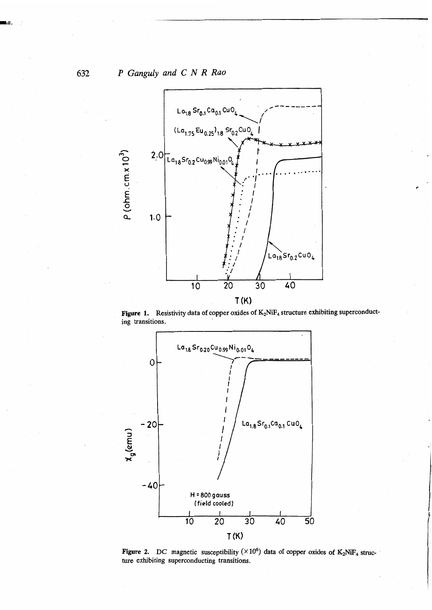

Figure 1. Resistivity data of copper oxides of K<sub>2</sub>NiF<sub>4</sub> structure exhibiting superconduct**ing transitions.** 



**Figure 2.** DC magnetic susceptibility ( $\times 10^6$ ) data of copper oxides of K<sub>2</sub>NiF<sub>4</sub> struc**ture exhibiting superconducting transitions.** 

632